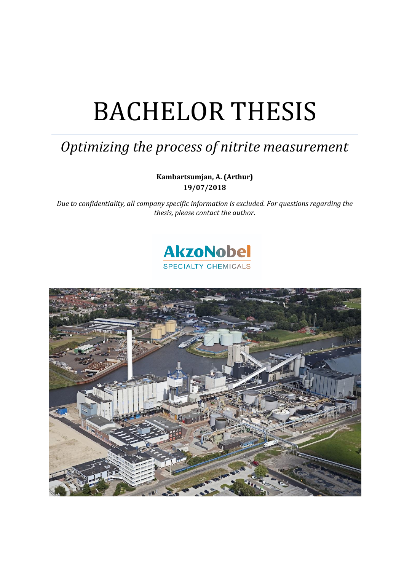# BACHELOR THESIS

## *Optimizing the process of nitrite measurement*

**Kambartsumjan, A. (Arthur) 19/07/2018**

*Due to confidentiality, all company specific information is excluded. For questions regarding the thesis, please contact the author.* 



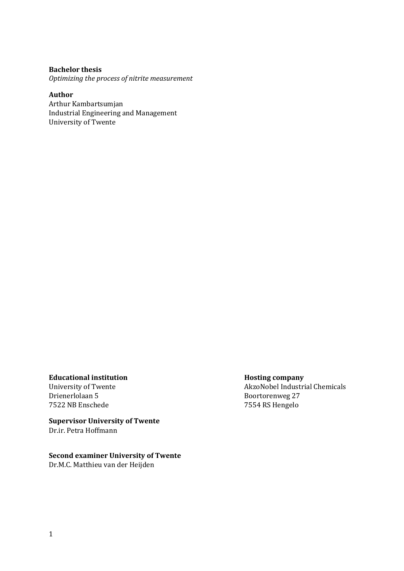#### **Bachelor thesis**

*Optimizing the process of nitrite measurement*

**Author**  Arthur Kambartsumjan Industrial Engineering and Management University of Twente

#### **Educational institution distribution distribution distribution distribution distribution distribution distribution**

Drienerlolaan 5 Boortorenweg 27 7522 NB Enschede 7554 RS Hengelo

**Supervisor University of Twente** Dr.ir. Petra Hoffmann

**Second examiner University of Twente** Dr.M.C. Matthieu van der Heijden

University of Twente **AkzoNobel Industrial Chemicals**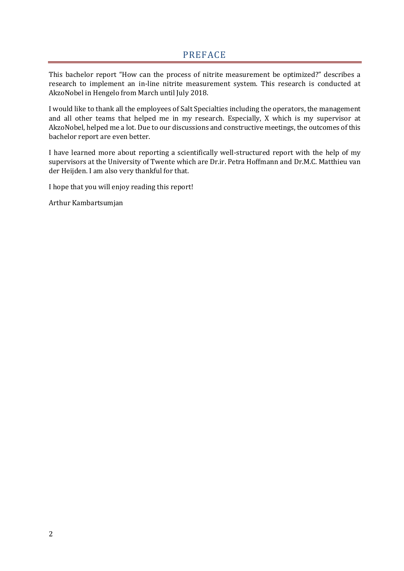<span id="page-2-0"></span>This bachelor report "How can the process of nitrite measurement be optimized?" describes a research to implement an in-line nitrite measurement system. This research is conducted at AkzoNobel in Hengelo from March until July 2018.

I would like to thank all the employees of Salt Specialties including the operators, the management and all other teams that helped me in my research. Especially, X which is my supervisor at AkzoNobel, helped me a lot. Due to our discussions and constructive meetings, the outcomes of this bachelor report are even better.

I have learned more about reporting a scientifically well-structured report with the help of my supervisors at the University of Twente which are Dr.ir. Petra Hoffmann and Dr.M.C. Matthieu van der Heijden. I am also very thankful for that.

I hope that you will enjoy reading this report!

Arthur Kambartsumjan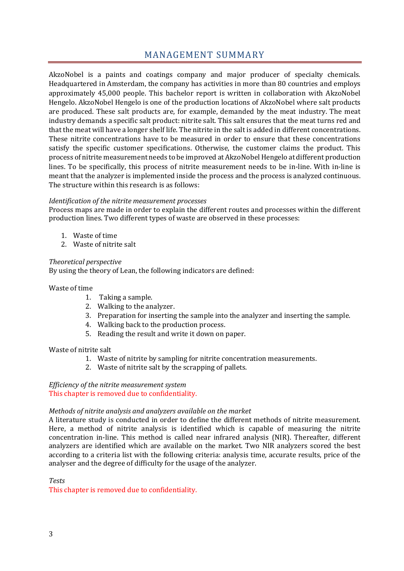### MANAGEMENT SUMMARY

<span id="page-3-0"></span>AkzoNobel is a paints and coatings company and major producer of specialty chemicals. Headquartered in Amsterdam, the company has activities in more than 80 countries and employs approximately 45,000 people. This bachelor report is written in collaboration with AkzoNobel Hengelo. AkzoNobel Hengelo is one of the production locations of AkzoNobel where salt products are produced. These salt products are, for example, demanded by the meat industry. The meat industry demands a specific salt product: nitrite salt. This salt ensures that the meat turns red and that the meat will have a longer shelf life. The nitrite in the salt is added in different concentrations. These nitrite concentrations have to be measured in order to ensure that these concentrations satisfy the specific customer specifications. Otherwise, the customer claims the product. This process of nitrite measurement needs to be improved at AkzoNobel Hengelo at different production lines. To be specifically, this process of nitrite measurement needs to be in-line. With in-line is meant that the analyzer is implemented inside the process and the process is analyzed continuous. The structure within this research is as follows:

#### *Identification of the nitrite measurement processes*

Process maps are made in order to explain the different routes and processes within the different production lines. Two different types of waste are observed in these processes:

- 1. Waste of time
- 2. Waste of nitrite salt

#### *Theoretical perspective*

By using the theory of Lean, the following indicators are defined:

#### Waste of time

- 1. Taking a sample.
- 2. Walking to the analyzer.
- 3. Preparation for inserting the sample into the analyzer and inserting the sample.
- 4. Walking back to the production process.
- 5. Reading the result and write it down on paper.

#### Waste of nitrite salt

- 1. Waste of nitrite by sampling for nitrite concentration measurements.
- 2. Waste of nitrite salt by the scrapping of pallets.

## *Efficiency of the nitrite measurement system*

This chapter is removed due to confidentiality.

#### *Methods of nitrite analysis and analyzers available on the market*

A literature study is conducted in order to define the different methods of nitrite measurement. Here, a method of nitrite analysis is identified which is capable of measuring the nitrite concentration in-line. This method is called near infrared analysis (NIR). Thereafter, different analyzers are identified which are available on the market. Two NIR analyzers scored the best according to a criteria list with the following criteria: analysis time, accurate results, price of the analyser and the degree of difficulty for the usage of the analyzer.

*Tests*

This chapter is removed due to confidentiality.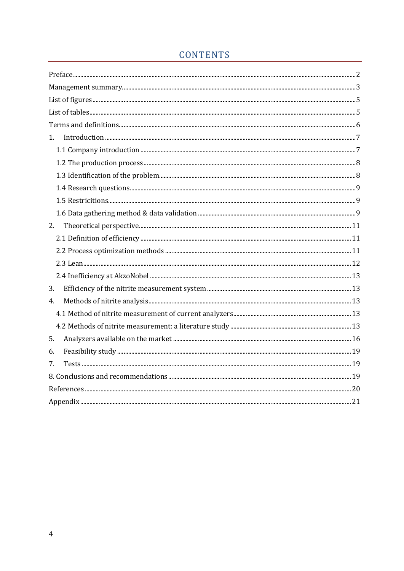## CONTENTS

| $1_{-}$ |  |
|---------|--|
|         |  |
|         |  |
|         |  |
|         |  |
|         |  |
|         |  |
| 2.      |  |
|         |  |
|         |  |
|         |  |
|         |  |
| 3.      |  |
| 4.      |  |
|         |  |
|         |  |
| 5.      |  |
| 6.      |  |
| 7.      |  |
|         |  |
|         |  |
|         |  |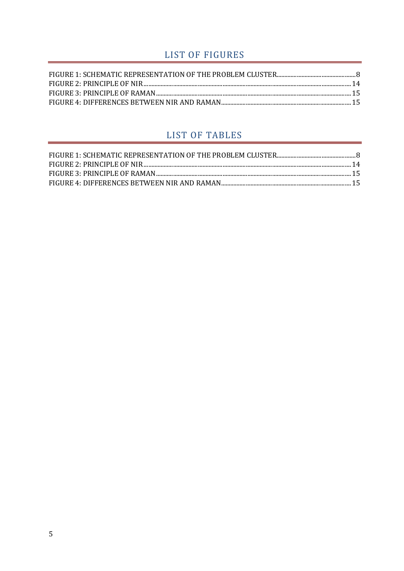## LIST OF FIGURES

<span id="page-5-0"></span>

## LIST OF TABLES

<span id="page-5-1"></span>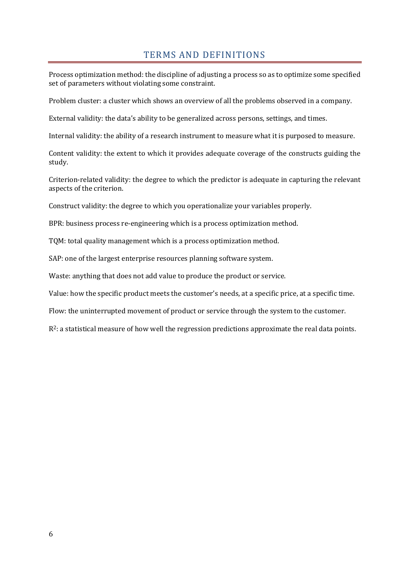#### TERMS AND DEFINITIONS

<span id="page-6-0"></span>Process optimization method: the discipline of adjusting a process so as to optimize some specified set of parameters without violating some constraint.

Problem cluster: a cluster which shows an overview of all the problems observed in a company.

External validity: the data's ability to be generalized across persons, settings, and times.

Internal validity: the ability of a research instrument to measure what it is purposed to measure.

Content validity: the extent to which it provides adequate coverage of the constructs guiding the study.

Criterion-related validity: the degree to which the predictor is adequate in capturing the relevant aspects of the criterion.

Construct validity: the degree to which you operationalize your variables properly.

BPR: business process re-engineering which is a process optimization method.

TQM: total quality management which is a process optimization method.

SAP: one of the largest enterprise resources planning software system.

Waste: anything that does not add value to produce the product or service.

Value: how the specific product meets the customer's needs, at a specific price, at a specific time.

Flow: the uninterrupted movement of product or service through the system to the customer.

 $R^2$ : a statistical measure of how well the regression predictions approximate the real data points.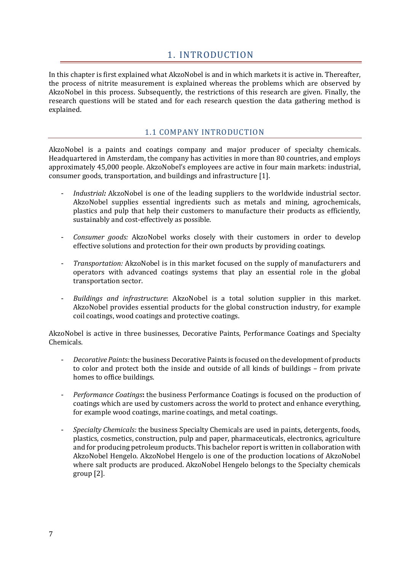#### 1. INTRODUCTION

<span id="page-7-0"></span>In this chapter is first explained what AkzoNobel is and in which markets it is active in. Thereafter, the process of nitrite measurement is explained whereas the problems which are observed by AkzoNobel in this process. Subsequently, the restrictions of this research are given. Finally, the research questions will be stated and for each research question the data gathering method is explained.

#### 1.1 COMPANY INTRODUCTION

<span id="page-7-1"></span>AkzoNobel is a paints and coatings company and major producer of specialty chemicals. Headquartered in Amsterdam, the company has activities in more than 80 countries, and employs approximately 45,000 people. AkzoNobel's employees are active in four main markets: industrial, consumer goods, transportation, and buildings and infrastructure [\[1\].](#page-20-1)

- *Industrial*: AkzoNobel is one of the leading suppliers to the worldwide industrial sector. AkzoNobel supplies essential ingredients such as metals and mining, agrochemicals, plastics and pulp that help their customers to manufacture their products as efficiently, sustainably and cost-effectively as possible.
- *Consumer goods:* AkzoNobel works closely with their customers in order to develop effective solutions and protection for their own products by providing coatings.
- *Transportation:* AkzoNobel is in this market focused on the supply of manufacturers and operators with advanced coatings systems that play an essential role in the global transportation sector.
- *Buildings and infrastructure*: AkzoNobel is a total solution supplier in this market. AkzoNobel provides essential products for the global construction industry, for example coil coatings, wood coatings and protective coatings.

AkzoNobel is active in three businesses, Decorative Paints, Performance Coatings and Specialty Chemicals.

- *Decorative Paints:*the business Decorative Paints is focused on the development of products to color and protect both the inside and outside of all kinds of buildings – from private homes to office buildings.
- *Performance Coatings***:** the business Performance Coatings is focused on the production of coatings which are used by customers across the world to protect and enhance everything, for example wood coatings, marine coatings, and metal coatings.
- *Specialty Chemicals:* the business Specialty Chemicals are used in paints, detergents, foods, plastics, cosmetics, construction, pulp and paper, pharmaceuticals, electronics, agriculture and for producing petroleum products. This bachelor report is written in collaboration with AkzoNobel Hengelo. AkzoNobel Hengelo is one of the production locations of AkzoNobel where salt products are produced. AkzoNobel Hengelo belongs to the Specialty chemicals grou[p \[2\].](#page-20-2)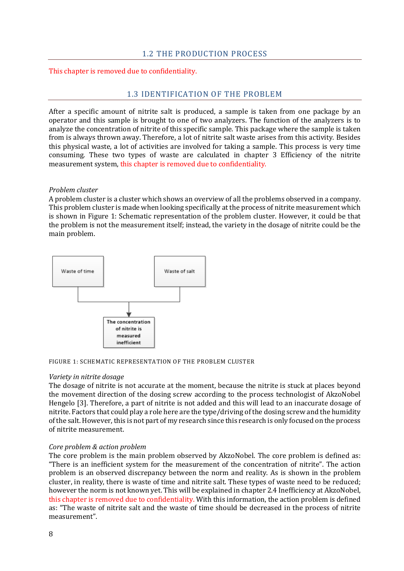#### 1.2 THE PRODUCTION PROCESS

<span id="page-8-1"></span><span id="page-8-0"></span>This chapter is removed due to confidentiality.

#### 1.3 IDENTIFICATION OF THE PROBLEM

After a specific amount of nitrite salt is produced, a sample is taken from one package by an operator and this sample is brought to one of two analyzers. The function of the analyzers is to analyze the concentration of nitrite of this specific sample. This package where the sample is taken from is always thrown away. Therefore, a lot of nitrite salt waste arises from this activity. Besides this physical waste, a lot of activities are involved for taking a sample. This process is very time consuming. These two types of waste are calculated in chapter [3](#page-13-1) [Efficiency of the nitrite](#page-13-1)  [measurement system,](#page-13-1) this chapter is removed due to confidentiality.

#### *Problem cluster*

A problem cluster is a cluster which shows an overview of all the problems observed in a company. This problem cluster is made when looking specifically at the process of nitrite measurement which is shown in [Figure 1: Schematic representation of the problem cluster.](#page-8-2) However, it could be that the problem is not the measurement itself; instead, the variety in the dosage of nitrite could be the main problem.



<span id="page-8-2"></span>

#### *Variety in nitrite dosage*

The dosage of nitrite is not accurate at the moment, because the nitrite is stuck at places beyond the movement direction of the dosing screw according to the process technologist of AkzoNobel Hengelo [\[3\].](#page-20-3) Therefore, a part of nitrite is not added and this will lead to an inaccurate dosage of nitrite. Factors that could play a role here are the type/driving of the dosing screw and the humidity of the salt. However, this is not part of my research since this research is only focused on the process of nitrite measurement.

#### *Core problem & action problem*

The core problem is the main problem observed by AkzoNobel. The core problem is defined as: "There is an inefficient system for the measurement of the concentration of nitrite". The action problem is an observed discrepancy between the norm and reality. As is shown in the problem cluster, in reality, there is waste of time and nitrite salt. These types of waste need to be reduced; however the norm is not known yet. This will be explained in chapter 2.4 Inefficiency at AkzoNobel, this chapter is removed due to confidentiality. With this information, the action problem is defined as: "The waste of nitrite salt and the waste of time should be decreased in the process of nitrite measurement".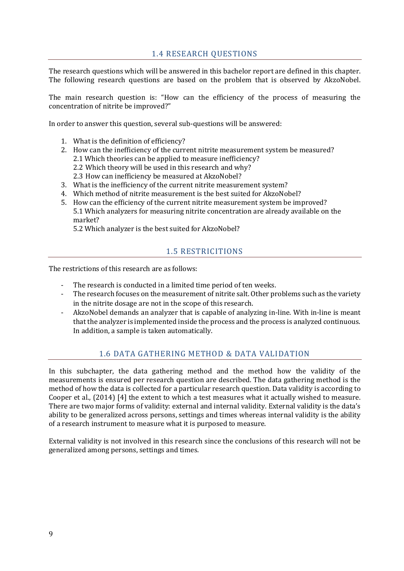#### 1.4 RESEARCH QUESTIONS

<span id="page-9-0"></span>The research questions which will be answered in this bachelor report are defined in this chapter. The following research questions are based on the problem that is observed by AkzoNobel.

The main research question is: "How can the efficiency of the process of measuring the concentration of nitrite be improved?"

In order to answer this question, several sub-questions will be answered:

- 1. What is the definition of efficiency?
- 2. How can the inefficiency of the current nitrite measurement system be measured? 2.1 Which theories can be applied to measure inefficiency?
	- 2.2 Which theory will be used in this research and why?
	- 2.3 How can inefficiency be measured at AkzoNobel?
- 3. What is the inefficiency of the current nitrite measurement system?
- 4. Which method of nitrite measurement is the best suited for AkzoNobel?
- 5. How can the efficiency of the current nitrite measurement system be improved? 5.1 Which analyzers for measuring nitrite concentration are already available on the market?

<span id="page-9-1"></span>5.2 Which analyzer is the best suited for AkzoNobel?

#### 1.5 RESTRICITIONS

The restrictions of this research are as follows:

- The research is conducted in a limited time period of ten weeks.
- The research focuses on the measurement of nitrite salt. Other problems such as the variety in the nitrite dosage are not in the scope of this research.
- AkzoNobel demands an analyzer that is capable of analyzing in-line. With in-line is meant that the analyzer is implemented inside the process and the process is analyzed continuous. In addition, a sample is taken automatically.

#### 1.6 DATA GATHERING METHOD & DATA VALIDATION

<span id="page-9-2"></span>In this subchapter, the data gathering method and the method how the validity of the measurements is ensured per research question are described. The data gathering method is the method of how the data is collected for a particular research question. Data validity is according to Cooper et al., (2014) [\[4\]](#page-20-4) the extent to which a test measures what it actually wished to measure. There are two major forms of validity: external and internal validity. External validity is the data's ability to be generalized across persons, settings and times whereas internal validity is the ability of a research instrument to measure what it is purposed to measure.

External validity is not involved in this research since the conclusions of this research will not be generalized among persons, settings and times.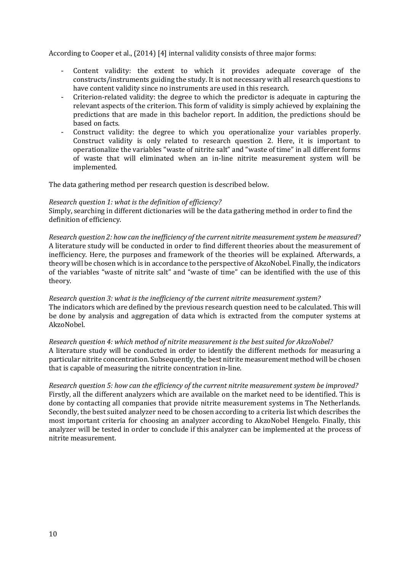According to Cooper et al., (2014) [\[4\]](#page-20-4) internal validity consists of three major forms:

- Content validity: the extent to which it provides adequate coverage of the constructs/instruments guiding the study. It is not necessary with all research questions to have content validity since no instruments are used in this research.
- Criterion-related validity: the degree to which the predictor is adequate in capturing the relevant aspects of the criterion. This form of validity is simply achieved by explaining the predictions that are made in this bachelor report. In addition, the predictions should be based on facts.
- Construct validity: the degree to which you operationalize your variables properly. Construct validity is only related to research question 2. Here, it is important to operationalize the variables "waste of nitrite salt" and "waste of time" in all different forms of waste that will eliminated when an in-line nitrite measurement system will be implemented.

The data gathering method per research question is described below.

#### *Research question 1: what is the definition of efficiency?*

Simply, searching in different dictionaries will be the data gathering method in order to find the definition of efficiency.

*Research question 2: how can the inefficiency of the current nitrite measurement system be measured?*  A literature study will be conducted in order to find different theories about the measurement of inefficiency. Here, the purposes and framework of the theories will be explained. Afterwards, a theory will be chosen which is in accordance to the perspective of AkzoNobel. Finally, the indicators of the variables "waste of nitrite salt" and "waste of time" can be identified with the use of this theory.

*Research question 3: what is the inefficiency of the current nitrite measurement system?* The indicators which are defined by the previous research question need to be calculated. This will be done by analysis and aggregation of data which is extracted from the computer systems at AkzoNobel.

*Research question 4: which method of nitrite measurement is the best suited for AkzoNobel?* A literature study will be conducted in order to identify the different methods for measuring a particular nitrite concentration. Subsequently, the best nitrite measurement method will be chosen that is capable of measuring the nitrite concentration in-line.

*Research question 5: how can the efficiency of the current nitrite measurement system be improved?* Firstly, all the different analyzers which are available on the market need to be identified. This is done by contacting all companies that provide nitrite measurement systems in The Netherlands. Secondly, the best suited analyzer need to be chosen according to a criteria list which describes the most important criteria for choosing an analyzer according to AkzoNobel Hengelo. Finally, this analyzer will be tested in order to conclude if this analyzer can be implemented at the process of nitrite measurement.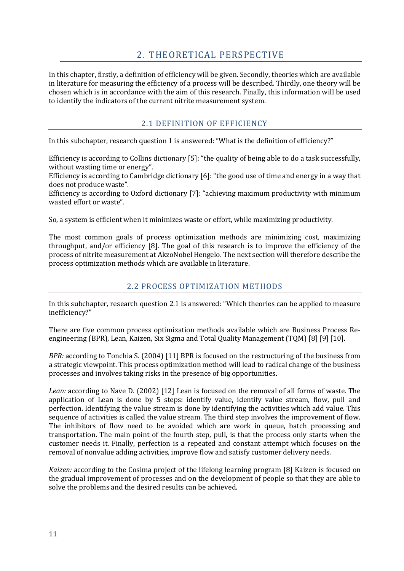## 2. THEORETICAL PERSPECTIVE

<span id="page-11-0"></span>In this chapter, firstly, a definition of efficiency will be given. Secondly, theories which are available in literature for measuring the efficiency of a process will be described. Thirdly, one theory will be chosen which is in accordance with the aim of this research. Finally, this information will be used to identify the indicators of the current nitrite measurement system.

#### 2.1 DEFINITION OF EFFICIENCY

<span id="page-11-1"></span>In this subchapter, research question 1 is answered: "What is the definition of efficiency?"

Efficiency is according to Collins dictionary [\[5\]:](#page-20-5) "the quality of being able to do a task successfully, without wasting time or energy".

Efficiency is according to Cambridge dictionary [\[6\]:](#page-20-6) "the good use of time and energy in a way that does not produce waste".

Efficiency is according to Oxford dictionary [\[7\]:](#page-20-7) "achieving maximum productivity with minimum wasted effort or waste".

So, a system is efficient when it minimizes waste or effort, while maximizing productivity.

The most common goals of process optimization methods are minimizing cost, maximizing throughput, and/or efficiency [\[8\].](#page-20-8) The goal of this research is to improve the efficiency of the process of nitrite measurement at AkzoNobel Hengelo. The next section will therefore describe the process optimization methods which are available in literature.

#### 2.2 PROCESS OPTIMIZATION METHODS

<span id="page-11-2"></span>In this subchapter, research question 2.1 is answered: "Which theories can be applied to measure inefficiency?"

There are five common process optimization methods available which are Business Process Reengineering (BPR), Lean, Kaizen, Six Sigma and Total Quality Management (TQM[\) \[8\]](#page-20-8) [\[9\]](#page-20-9) [\[10\].](#page-20-10)

*BPR:* according to Tonchia S. (2004) [\[11\]](#page-20-11) BPR is focused on the restructuring of the business from a strategic viewpoint. This process optimization method will lead to radical change of the business processes and involves taking risks in the presence of big opportunities.

*Lean:* according to Nave D. (2002) [\[12\]](#page-20-12) Lean is focused on the removal of all forms of waste. The application of Lean is done by 5 steps: identify value, identify value stream, flow, pull and perfection. Identifying the value stream is done by identifying the activities which add value. This sequence of activities is called the value stream. The third step involves the improvement of flow. The inhibitors of flow need to be avoided which are work in queue, batch processing and transportation. The main point of the fourth step, pull, is that the process only starts when the customer needs it. Finally, perfection is a repeated and constant attempt which focuses on the removal of nonvalue adding activities, improve flow and satisfy customer delivery needs.

*Kaizen:* according to the Cosima project of the lifelong learning program [\[8\]](#page-20-8) Kaizen is focused on the gradual improvement of processes and on the development of people so that they are able to solve the problems and the desired results can be achieved.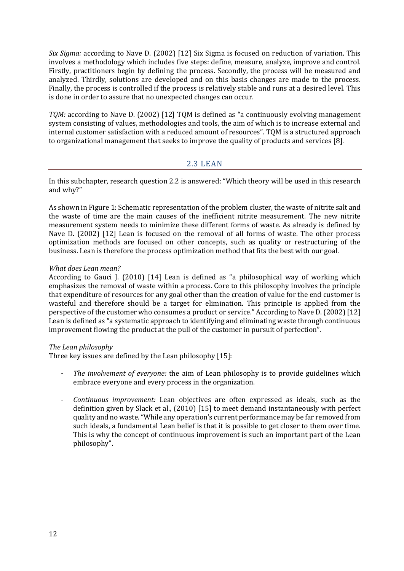*Six Sigma:* according to Nave D. (2002) [\[12\]](#page-20-12) Six Sigma is focused on reduction of variation. This involves a methodology which includes five steps: define, measure, analyze, improve and control. Firstly, practitioners begin by defining the process. Secondly, the process will be measured and analyzed. Thirdly, solutions are developed and on this basis changes are made to the process. Finally, the process is controlled if the process is relatively stable and runs at a desired level. This is done in order to assure that no unexpected changes can occur.

*TQM:* according to Nave D. (2002) [\[12\]](#page-20-13) TQM is defined as "a continuously evolving management system consisting of values, methodologies and tools, the aim of which is to increase external and internal customer satisfaction with a reduced amount of resources". TQM is a structured approach to organizational management that seeks to improve the quality of products and services [\[8\].](#page-20-8)

#### 2.3 LEAN

<span id="page-12-0"></span>In this subchapter, research question 2.2 is answered: "Which theory will be used in this research and why?"

As shown in [Figure 1: Schematic representation of the problem cluster,](#page-8-2) the waste of nitrite salt and the waste of time are the main causes of the inefficient nitrite measurement. The new nitrite measurement system needs to minimize these different forms of waste. As already is defined by Nave D. (2002) [\[12\]](#page-20-12) Lean is focused on the removal of all forms of waste. The other process optimization methods are focused on other concepts, such as quality or restructuring of the business. Lean is therefore the process optimization method that fits the best with our goal.

#### *What does Lean mean?*

According to Gauci J. (2010) [\[14\]](#page-20-14) Lean is defined as "a philosophical way of working which emphasizes the removal of waste within a process. Core to this philosophy involves the principle that expenditure of resources for any goal other than the creation of value for the end customer is wasteful and therefore should be a target for elimination. This principle is applied from the perspective of the customer who consumes a product or service." According to Nave D. (2002) [\[12\]](#page-20-12) Lean is defined as "a systematic approach to identifying and eliminating waste through continuous improvement flowing the product at the pull of the customer in pursuit of perfection".

#### *The Lean philosophy*

Three key issues are defined by the Lean philosophy [\[15\]:](#page-20-15)

- *The involvement of everyone:* the aim of Lean philosophy is to provide guidelines which embrace everyone and every process in the organization.
- *Continuous improvement:* Lean objectives are often expressed as ideals, such as the definition given by Slack et al., (2010) [\[15\]](#page-20-15) to meet demand instantaneously with perfect quality and no waste. "While any operation's current performance may be far removed from such ideals, a fundamental Lean belief is that it is possible to get closer to them over time. This is why the concept of continuous improvement is such an important part of the Lean philosophy".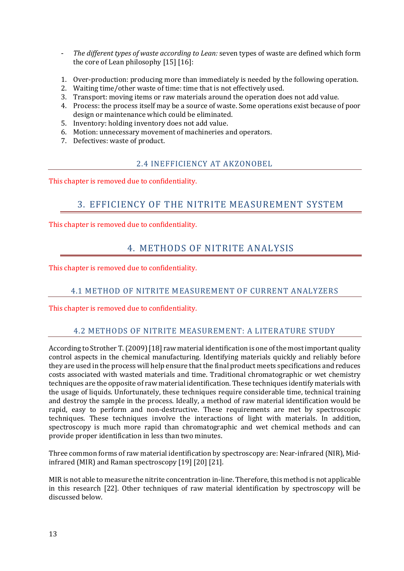- *The different types of waste according to Lean:* seven types of waste are defined which form the core of Lean philosophy [\[15\]](#page-20-15) [\[16\]:](#page-20-16)
- 1. Over-production: producing more than immediately is needed by the following operation.
- 2. Waiting time/other waste of time: time that is not effectively used.
- 3. Transport: moving items or raw materials around the operation does not add value.
- 4. Process: the process itself may be a source of waste. Some operations exist because of poor design or maintenance which could be eliminated.
- 5. Inventory: holding inventory does not add value.
- 6. Motion: unnecessary movement of machineries and operators.
- <span id="page-13-0"></span>7. Defectives: waste of product.

#### 2.4 INEFFICIENCY AT AKZONOBEL

<span id="page-13-1"></span>This chapter is removed due to confidentiality.

### 3. EFFICIENCY OF THE NITRITE MEASUREMENT SYSTEM

<span id="page-13-2"></span>This chapter is removed due to confidentiality.

### 4. METHODS OF NITRITE ANALYSIS

<span id="page-13-3"></span>This chapter is removed due to confidentiality.

#### 4.1 METHOD OF NITRITE MEASUREMENT OF CURRENT ANALYZERS

<span id="page-13-4"></span>This chapter is removed due to confidentiality.

#### 4.2 METHODS OF NITRITE MEASUREMENT: A LITERATURE STUDY

According to Strother T. (2009[\) \[18\]](#page-20-17) raw material identification is one of the most important quality control aspects in the chemical manufacturing. Identifying materials quickly and reliably before they are used in the process will help ensure that the final product meets specifications and reduces costs associated with wasted materials and time. Traditional chromatographic or wet chemistry techniques are the opposite of raw material identification. These techniques identify materials with the usage of liquids. Unfortunately, these techniques require considerable time, technical training and destroy the sample in the process. Ideally, a method of raw material identification would be rapid, easy to perform and non-destructive. These requirements are met by spectroscopic techniques. These techniques involve the interactions of light with materials. In addition, spectroscopy is much more rapid than chromatographic and wet chemical methods and can provide proper identification in less than two minutes.

Three common forms of raw material identification by spectroscopy are: Near-infrared (NIR), Midinfrared (MIR) and Raman spectroscopy [\[19\]](#page-20-18) [\[20\]](#page-20-19) [\[21\].](#page-21-1) 

MIR is not able to measure the nitrite concentration in-line. Therefore, this method is not applicable in this research [\[22\].](#page-21-2) Other techniques of raw material identification by spectroscopy will be discussed below.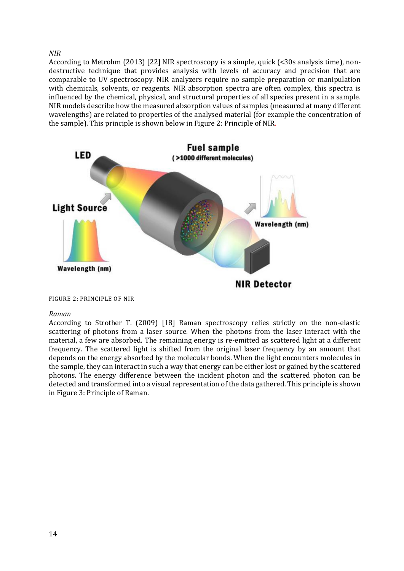*NIR* 

According to Metrohm (2013) [\[22\]](#page-21-2) NIR spectroscopy is a simple, quick (<30s analysis time), nondestructive technique that provides analysis with levels of accuracy and precision that are comparable to UV spectroscopy. NIR analyzers require no sample preparation or manipulation with chemicals, solvents, or reagents. NIR absorption spectra are often complex, this spectra is influenced by the chemical, physical, and structural properties of all species present in a sample. NIR models describe how the measured absorption values of samples (measured at many different wavelengths) are related to properties of the analysed material (for example the concentration of the sample). This principle is shown below i[n Figure 2: Principle of NIR.](#page-14-0)



<span id="page-14-0"></span>FIGURE 2: PRINCIPLE OF NIR

#### *Raman*

According to Strother T. (2009) [\[18\]](#page-20-17) Raman spectroscopy relies strictly on the non-elastic scattering of photons from a laser source. When the photons from the laser interact with the material, a few are absorbed. The remaining energy is re-emitted as scattered light at a different frequency. The scattered light is shifted from the original laser frequency by an amount that depends on the energy absorbed by the molecular bonds. When the light encounters molecules in the sample, they can interact in such a way that energy can be either lost or gained by the scattered photons. The energy difference between the incident photon and the scattered photon can be detected and transformed into a visual representation of the data gathered. This principle is shown i[n Figure 3: Principle of Raman.](#page-15-0)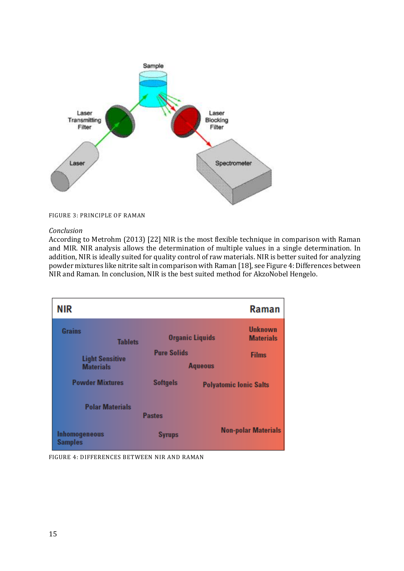

<span id="page-15-0"></span>FIGURE 3: PRINCIPLE OF RAMAN

#### *Conclusion*

According to Metrohm (2013) [\[22\]](#page-21-2) NIR is the most flexible technique in comparison with Raman and MIR. NIR analysis allows the determination of multiple values in a single determination. In addition, NIR is ideally suited for quality control of raw materials. NIR is better suited for analyzing powder mixtures like nitrite salt in comparison with Raman [\[18\],](#page-20-17) se[e Figure 4: Differences between](#page-15-1)  [NIR and Raman.](#page-15-1) In conclusion, NIR is the best suited method for AkzoNobel Hengelo.

| <b>NIR</b>                                 |                    | Raman                                                        |
|--------------------------------------------|--------------------|--------------------------------------------------------------|
| <b>Grains</b><br><b>Tablets</b>            |                    | <b>Unknown</b><br><b>Organic Liquids</b><br><b>Materials</b> |
| <b>Light Sensitive</b><br><b>Materials</b> | <b>Pure Solids</b> | <b>Films</b><br><b>Aqueous</b>                               |
| <b>Powder Mixtures</b>                     | <b>Softgels</b>    | <b>Polyatomic Ionic Salts</b>                                |
| <b>Polar Materials</b>                     | <b>Pastes</b>      |                                                              |
| Inhomogeneous<br><b>Samples</b>            | <b>Syrups</b>      | <b>Non-polar Materials</b>                                   |

<span id="page-15-1"></span>FIGURE 4: DIFFERENCES BETWEEN NIR AND RAMAN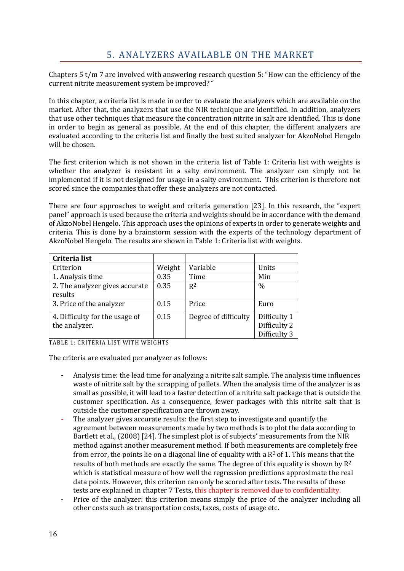<span id="page-16-0"></span>Chapters 5 t/m 7 are involved with answering research question 5: "How can the efficiency of the current nitrite measurement system be improved? "

In this chapter, a criteria list is made in order to evaluate the analyzers which are available on the market. After that, the analyzers that use the NIR technique are identified. In addition, analyzers that use other techniques that measure the concentration nitrite in salt are identified. This is done in order to begin as general as possible. At the end of this chapter, the different analyzers are evaluated according to the criteria list and finally the best suited analyzer for AkzoNobel Hengelo will be chosen.

The first criterion which is not shown in the criteria list of [Table 1: Criteria list with weights](#page-16-1) is whether the analyzer is resistant in a salty environment. The analyzer can simply not be implemented if it is not designed for usage in a salty environment. This criterion is therefore not scored since the companies that offer these analyzers are not contacted.

There are four approaches to weight and criteria generation [\[23\].](#page-21-3) In this research, the "expert panel" approach is used because the criteria and weights should be in accordance with the demand of AkzoNobel Hengelo. This approach uses the opinions of experts in order to generate weights and criteria. This is done by a brainstorm session with the experts of the technology department of AkzoNobel Hengelo. The results are shown in [Table 1: Criteria list with weights.](#page-16-1)

| Criteria list                  |        |                      |               |
|--------------------------------|--------|----------------------|---------------|
| Criterion                      | Weight | Variable             | Units         |
| 1. Analysis time               | 0.35   | Time                 | Min           |
| 2. The analyzer gives accurate | 0.35   | $R^2$                | $\frac{0}{0}$ |
| results                        |        |                      |               |
| 3. Price of the analyzer       | 0.15   | Price                | Euro          |
| 4. Difficulty for the usage of | 0.15   | Degree of difficulty | Difficulty 1  |
| the analyzer.                  |        |                      | Difficulty 2  |
|                                |        |                      | Difficulty 3  |

<span id="page-16-1"></span>TABLE 1: CRITERIA LIST WITH WEIGHTS

The criteria are evaluated per analyzer as follows:

- Analysis time: the lead time for analyzing a nitrite salt sample. The analysis time influences waste of nitrite salt by the scrapping of pallets. When the analysis time of the analyzer is as small as possible, it will lead to a faster detection of a nitrite salt package that is outside the customer specification. As a consequence, fewer packages with this nitrite salt that is outside the customer specification are thrown away.
- The analyzer gives accurate results: the first step to investigate and quantify the agreement between measurements made by two methods is to plot the data according to Bartlett et al., (2008) [\[24\].](#page-21-4) The simplest plot is of subjects' measurements from the NIR method against another measurement method. If both measurements are completely free from error, the points lie on a diagonal line of equality with a  $R^2$  of 1. This means that the results of both methods are exactly the same. The degree of this equality is shown by  $R^2$ which is statistical measure of how well the regression predictions approximate the real data points. However, this criterion can only be scored after tests. The results of these tests are explained in chapter [7](#page-19-1) [Tests,](#page-19-1) this chapter is removed due to confidentiality.
- Price of the analyzer: this criterion means simply the price of the analyzer including all other costs such as transportation costs, taxes, costs of usage etc.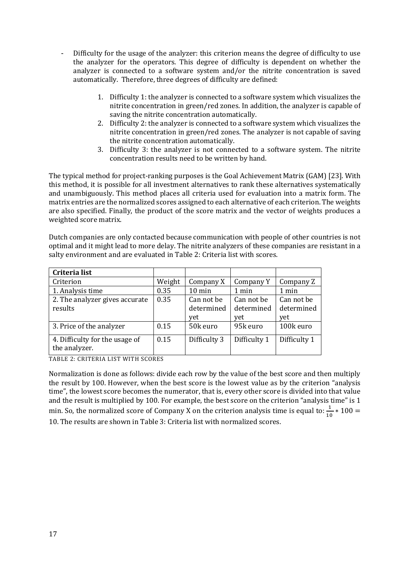- Difficulty for the usage of the analyzer: this criterion means the degree of difficulty to use the analyzer for the operators. This degree of difficulty is dependent on whether the analyzer is connected to a software system and/or the nitrite concentration is saved automatically. Therefore, three degrees of difficulty are defined:
	- 1. Difficulty 1: the analyzer is connected to a software system which visualizes the nitrite concentration in green/red zones. In addition, the analyzer is capable of saving the nitrite concentration automatically.
	- 2. Difficulty 2: the analyzer is connected to a software system which visualizes the nitrite concentration in green/red zones. The analyzer is not capable of saving the nitrite concentration automatically.
	- 3. Difficulty 3: the analyzer is not connected to a software system. The nitrite concentration results need to be written by hand.

The typical method for project-ranking purposes is the Goal Achievement Matrix (GAM) [\[23\].](#page-21-3) With this method, it is possible for all investment alternatives to rank these alternatives systematically and unambiguously. This method places all criteria used for evaluation into a matrix form. The matrix entries are the normalized scores assigned to each alternative of each criterion. The weights are also specified. Finally, the product of the score matrix and the vector of weights produces a weighted score matrix.

Dutch companies are only contacted because communication with people of other countries is not optimal and it might lead to more delay. The nitrite analyzers of these companies are resistant in a salty environment and are evaluated in [Table 2: Criteria list with scores.](#page-17-0)

| Criteria list                                   |        |                          |                          |                          |
|-------------------------------------------------|--------|--------------------------|--------------------------|--------------------------|
| Criterion                                       | Weight | Company X                | Company Y                | Company Z                |
| 1. Analysis time                                | 0.35   | $10 \text{ min}$         | 1 min                    | 1 min                    |
| 2. The analyzer gives accurate<br>results       | 0.35   | Can not be<br>determined | Can not be<br>determined | Can not be<br>determined |
|                                                 |        | vet                      | yet                      | vet                      |
| 3. Price of the analyzer                        | 0.15   | 50k euro                 | 95k euro                 | 100k euro                |
| 4. Difficulty for the usage of<br>the analyzer. | 0.15   | Difficulty 3             | Difficulty 1             | Difficulty 1             |

<span id="page-17-0"></span>TABLE 2: CRITERIA LIST WITH SCORES

Normalization is done as follows: divide each row by the value of the best score and then multiply the result by 100. However, when the best score is the lowest value as by the criterion "analysis time", the lowest score becomes the numerator, that is, every other score is divided into that value and the result is multiplied by 100. For example, the best score on the criterion "analysis time" is 1 min. So, the normalized score of Company X on the criterion analysis time is equal to:  $\frac{1}{10} * 100 =$ 10. The results are shown in [Table 3: Criteria list with normalized scores.](#page-18-0)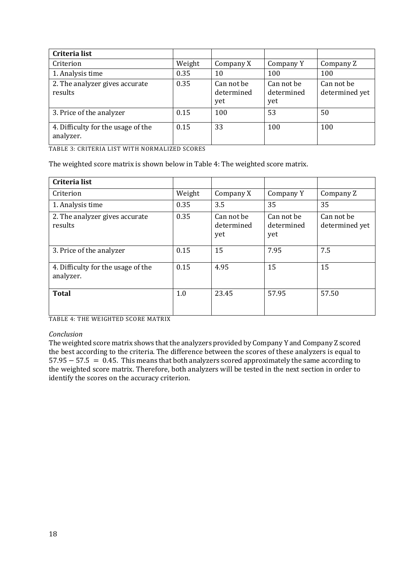| Criteria list                                   |        |                                 |                                 |                              |
|-------------------------------------------------|--------|---------------------------------|---------------------------------|------------------------------|
| Criterion                                       | Weight | Company X                       | Company Y                       | Company Z                    |
| 1. Analysis time                                | 0.35   | 10                              | 100                             | 100                          |
| 2. The analyzer gives accurate<br>results       | 0.35   | Can not be<br>determined<br>yet | Can not be<br>determined<br>yet | Can not be<br>determined yet |
| 3. Price of the analyzer                        | 0.15   | 100                             | 53                              | 50                           |
| 4. Difficulty for the usage of the<br>analyzer. | 0.15   | 33                              | 100                             | 100                          |

<span id="page-18-0"></span>TABLE 3: CRITERIA LIST WITH NORMALIZED SCORES

The weighted score matrix is shown below i[n Table 4: The weighted score matrix.](#page-18-1)

| Criteria list                                   |        |                                 |                                 |                              |
|-------------------------------------------------|--------|---------------------------------|---------------------------------|------------------------------|
| Criterion                                       | Weight | Company X                       | Company Y                       | Company Z                    |
| 1. Analysis time                                | 0.35   | 3.5                             | 35                              | 35                           |
| 2. The analyzer gives accurate<br>results       | 0.35   | Can not be<br>determined<br>yet | Can not be<br>determined<br>yet | Can not be<br>determined yet |
| 3. Price of the analyzer                        | 0.15   | 15                              | 7.95                            | 7.5                          |
| 4. Difficulty for the usage of the<br>analyzer. | 0.15   | 4.95                            | 15                              | 15                           |
| <b>Total</b>                                    | 1.0    | 23.45                           | 57.95                           | 57.50                        |

<span id="page-18-1"></span>TABLE 4: THE WEIGHTED SCORE MATRIX

#### *Conclusion*

The weighted score matrix shows that the analyzers provided by Company Y and Company Z scored the best according to the criteria. The difference between the scores of these analyzers is equal to 57.95 − 57.5 = 0.45. This means that both analyzers scored approximately the same according to the weighted score matrix. Therefore, both analyzers will be tested in the next section in order to identify the scores on the accuracy criterion.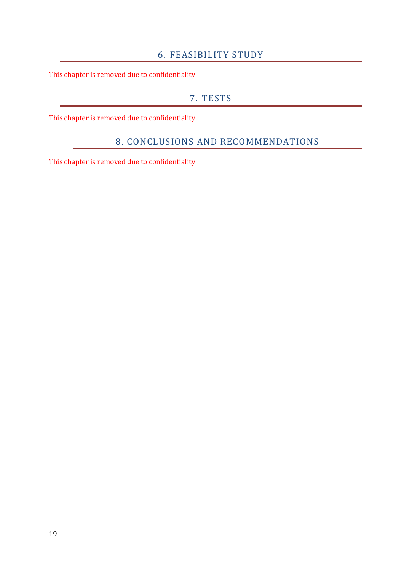#### 6. FEASIBILITY STUDY

<span id="page-19-1"></span><span id="page-19-0"></span>This chapter is removed due to confidentiality.

#### 7. TESTS

<span id="page-19-2"></span>This chapter is removed due to confidentiality.

## 8. CONCLUSIONS AND RECOMMENDATIONS

This chapter is removed due to confidentiality.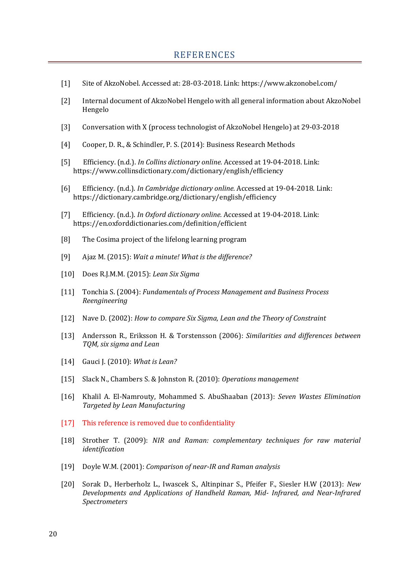- <span id="page-20-1"></span><span id="page-20-0"></span>[1] Site of AkzoNobel. Accessed at: 28-03-2018. Link: https://www.akzonobel.com/
- <span id="page-20-2"></span>[2] Internal document of AkzoNobel Hengelo with all general information about AkzoNobel Hengelo
- <span id="page-20-3"></span>[3] Conversation with X (process technologist of AkzoNobel Hengelo) at 29-03-2018
- <span id="page-20-4"></span>[4] Cooper, D. R., & Schindler, P. S. (2014): Business Research Methods
- <span id="page-20-5"></span>[5] Efficiency. (n.d.). *In Collins dictionary online.* Accessed at 19-04-2018. Link: https://www.collinsdictionary.com/dictionary/english/efficiency
- <span id="page-20-6"></span>[6] Efficiency. (n.d.). *In Cambridge dictionary online.* Accessed at 19-04-2018. Link: https://dictionary.cambridge.org/dictionary/english/efficiency
- <span id="page-20-7"></span>[7] Efficiency. (n.d.). *In Oxford dictionary online.* Accessed at 19-04-2018. Link: https://en.oxforddictionaries.com/definition/efficient
- <span id="page-20-8"></span>[8] The Cosima project of the lifelong learning program
- <span id="page-20-9"></span>[9] Ajaz M. (2015): *Wait a minute! What is the difference?*
- <span id="page-20-10"></span>[10] Does R.J.M.M. (2015): *Lean Six Sigma*
- <span id="page-20-11"></span>[11] Tonchia S. (2004): *Fundamentals of Process Management and Business Process Reengineering*
- <span id="page-20-13"></span><span id="page-20-12"></span>[12] Nave D. (2002): *How to compare Six Sigma, Lean and the Theory of Constraint*
- [13] Andersson R., Eriksson H. & Torstensson (2006): *Similarities and differences between TQM, six sigma and Lean*
- <span id="page-20-14"></span>[14] Gauci J. (2010): *What is Lean?*
- <span id="page-20-15"></span>[15] Slack N., Chambers S. & Johnston R. (2010): *Operations management*
- <span id="page-20-16"></span>[16] Khalil A. El-Namrouty, Mohammed S. AbuShaaban (2013): *Seven Wastes Elimination Targeted by Lean Manufacturing*
- [17] This reference is removed due to confidentiality
- <span id="page-20-17"></span>[18] Strother T. (2009): *NIR and Raman: complementary techniques for raw material identification*
- <span id="page-20-18"></span>[19] Doyle W.M. (2001): *Comparison of near-IR and Raman analysis*
- <span id="page-20-19"></span>[20] Sorak D., Herberholz L., Iwascek S., Altinpinar S., Pfeifer F., Siesler H.W (2013): *New Developments and Applications of Handheld Raman, Mid- Infrared, and Near-Infrared Spectrometers*